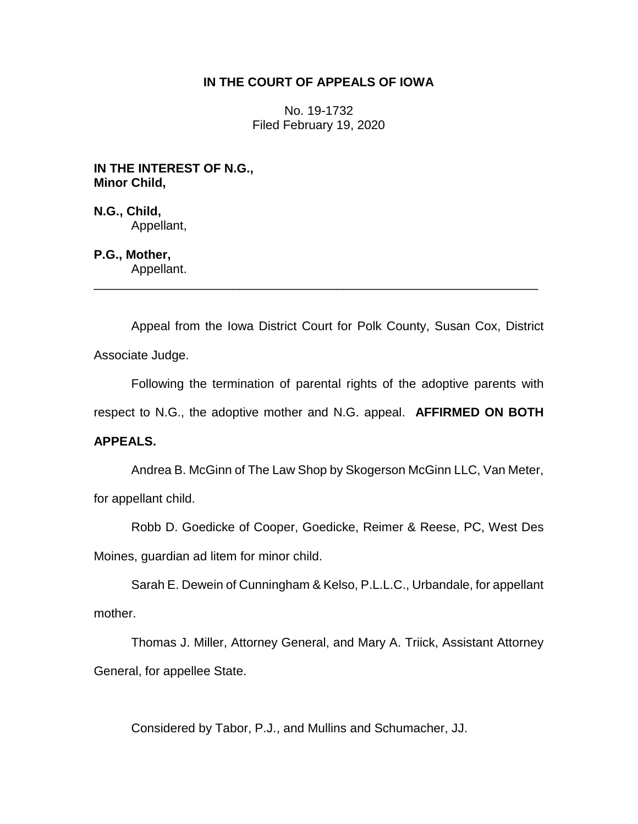### **IN THE COURT OF APPEALS OF IOWA**

No. 19-1732 Filed February 19, 2020

**IN THE INTEREST OF N.G., Minor Child,**

**N.G., Child,** Appellant,

# **P.G., Mother,**

Appellant. \_\_\_\_\_\_\_\_\_\_\_\_\_\_\_\_\_\_\_\_\_\_\_\_\_\_\_\_\_\_\_\_\_\_\_\_\_\_\_\_\_\_\_\_\_\_\_\_\_\_\_\_\_\_\_\_\_\_\_\_\_\_\_\_

Appeal from the Iowa District Court for Polk County, Susan Cox, District Associate Judge.

Following the termination of parental rights of the adoptive parents with

respect to N.G., the adoptive mother and N.G. appeal. **AFFIRMED ON BOTH** 

## **APPEALS.**

Andrea B. McGinn of The Law Shop by Skogerson McGinn LLC, Van Meter, for appellant child.

Robb D. Goedicke of Cooper, Goedicke, Reimer & Reese, PC, West Des

Moines, guardian ad litem for minor child.

Sarah E. Dewein of Cunningham & Kelso, P.L.L.C., Urbandale, for appellant mother.

Thomas J. Miller, Attorney General, and Mary A. Triick, Assistant Attorney General, for appellee State.

Considered by Tabor, P.J., and Mullins and Schumacher, JJ.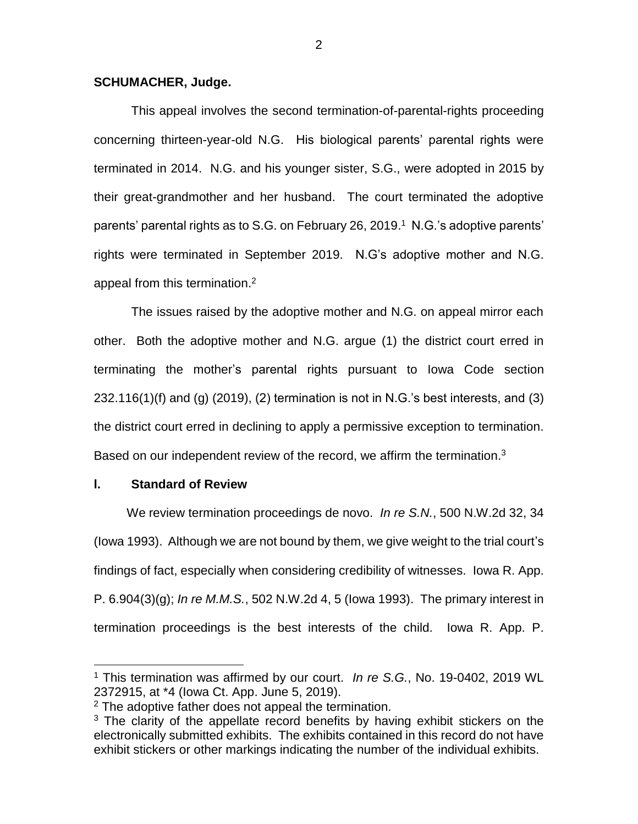### **SCHUMACHER, Judge.**

This appeal involves the second termination-of-parental-rights proceeding concerning thirteen-year-old N.G. His biological parents' parental rights were terminated in 2014. N.G. and his younger sister, S.G., were adopted in 2015 by their great-grandmother and her husband. The court terminated the adoptive parents' parental rights as to S.G. on February 26, 2019. 1 N.G.'s adoptive parents' rights were terminated in September 2019. N.G's adoptive mother and N.G. appeal from this termination.<sup>2</sup>

The issues raised by the adoptive mother and N.G. on appeal mirror each other. Both the adoptive mother and N.G. argue (1) the district court erred in terminating the mother's parental rights pursuant to Iowa Code section 232.116(1)(f) and (g) (2019), (2) termination is not in N.G.'s best interests, and (3) the district court erred in declining to apply a permissive exception to termination. Based on our independent review of the record, we affirm the termination.<sup>3</sup>

### **l. Standard of Review**

 $\overline{a}$ 

We review termination proceedings de novo. *In re S.N.*, 500 N.W.2d 32, 34 (Iowa 1993). Although we are not bound by them, we give weight to the trial court's findings of fact, especially when considering credibility of witnesses. Iowa R. App. P. 6.904(3)(g); *In re M.M.S.*, 502 N.W.2d 4, 5 (Iowa 1993). The primary interest in termination proceedings is the best interests of the child. Iowa R. App. P.

<sup>1</sup> This termination was affirmed by our court. *In re S.G.*, No. 19-0402, 2019 WL 2372915, at \*4 (Iowa Ct. App. June 5, 2019).

 $2$  The adoptive father does not appeal the termination.

 $3$  The clarity of the appellate record benefits by having exhibit stickers on the electronically submitted exhibits. The exhibits contained in this record do not have exhibit stickers or other markings indicating the number of the individual exhibits.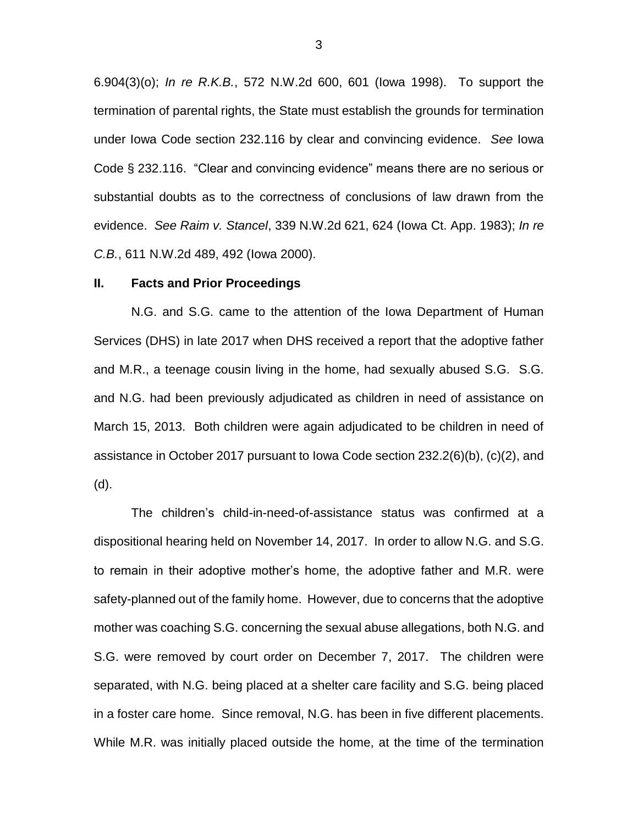6.904(3)(o); *In re R.K.B.*, 572 N.W.2d 600, 601 (Iowa 1998). To support the termination of parental rights, the State must establish the grounds for termination under Iowa Code section 232.116 by clear and convincing evidence. *See* Iowa Code § 232.116. "Clear and convincing evidence" means there are no serious or substantial doubts as to the correctness of conclusions of law drawn from the evidence. *See Raim v. Stancel*, 339 N.W.2d 621, 624 (Iowa Ct. App. 1983); *In re C.B.*, 611 N.W.2d 489, 492 (Iowa 2000).

#### **II. Facts and Prior Proceedings**

N.G. and S.G. came to the attention of the Iowa Department of Human Services (DHS) in late 2017 when DHS received a report that the adoptive father and M.R., a teenage cousin living in the home, had sexually abused S.G. S.G. and N.G. had been previously adjudicated as children in need of assistance on March 15, 2013. Both children were again adjudicated to be children in need of assistance in October 2017 pursuant to Iowa Code section 232.2(6)(b), (c)(2), and (d).

The children's child-in-need-of-assistance status was confirmed at a dispositional hearing held on November 14, 2017. In order to allow N.G. and S.G. to remain in their adoptive mother's home, the adoptive father and M.R. were safety-planned out of the family home. However, due to concerns that the adoptive mother was coaching S.G. concerning the sexual abuse allegations, both N.G. and S.G. were removed by court order on December 7, 2017. The children were separated, with N.G. being placed at a shelter care facility and S.G. being placed in a foster care home. Since removal, N.G. has been in five different placements. While M.R. was initially placed outside the home, at the time of the termination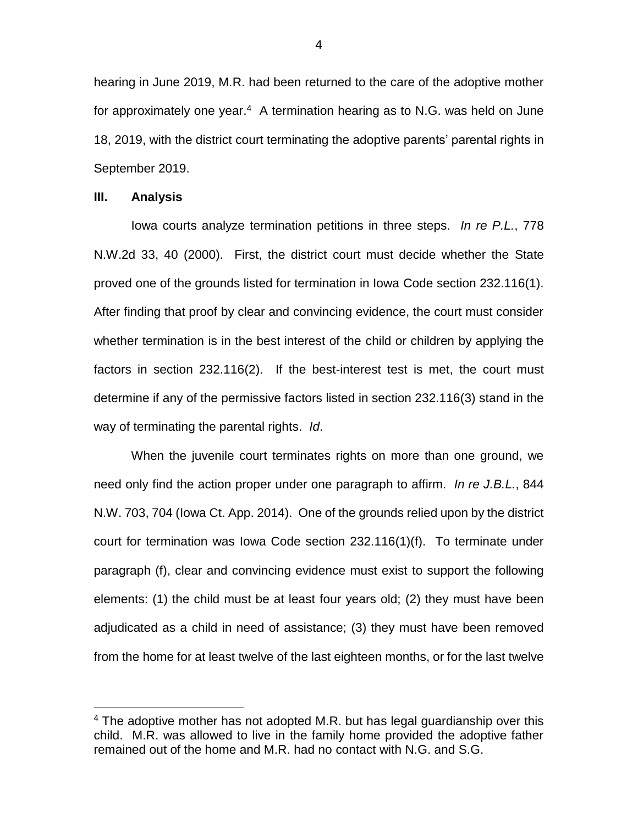hearing in June 2019, M.R. had been returned to the care of the adoptive mother for approximately one year.<sup>4</sup> A termination hearing as to N.G. was held on June 18, 2019, with the district court terminating the adoptive parents' parental rights in September 2019.

#### **III. Analysis**

 $\overline{a}$ 

Iowa courts analyze termination petitions in three steps. *In re P.L.*, 778 N.W.2d 33, 40 (2000). First, the district court must decide whether the State proved one of the grounds listed for termination in Iowa Code section 232.116(1). After finding that proof by clear and convincing evidence, the court must consider whether termination is in the best interest of the child or children by applying the factors in section 232.116(2). If the best-interest test is met, the court must determine if any of the permissive factors listed in section 232.116(3) stand in the way of terminating the parental rights. *Id*.

When the juvenile court terminates rights on more than one ground, we need only find the action proper under one paragraph to affirm. *In re J.B.L.*, 844 N.W. 703, 704 (Iowa Ct. App. 2014). One of the grounds relied upon by the district court for termination was Iowa Code section 232.116(1)(f). To terminate under paragraph (f), clear and convincing evidence must exist to support the following elements: (1) the child must be at least four years old; (2) they must have been adjudicated as a child in need of assistance; (3) they must have been removed from the home for at least twelve of the last eighteen months, or for the last twelve

 $4$  The adoptive mother has not adopted M.R. but has legal guardianship over this child. M.R. was allowed to live in the family home provided the adoptive father remained out of the home and M.R. had no contact with N.G. and S.G.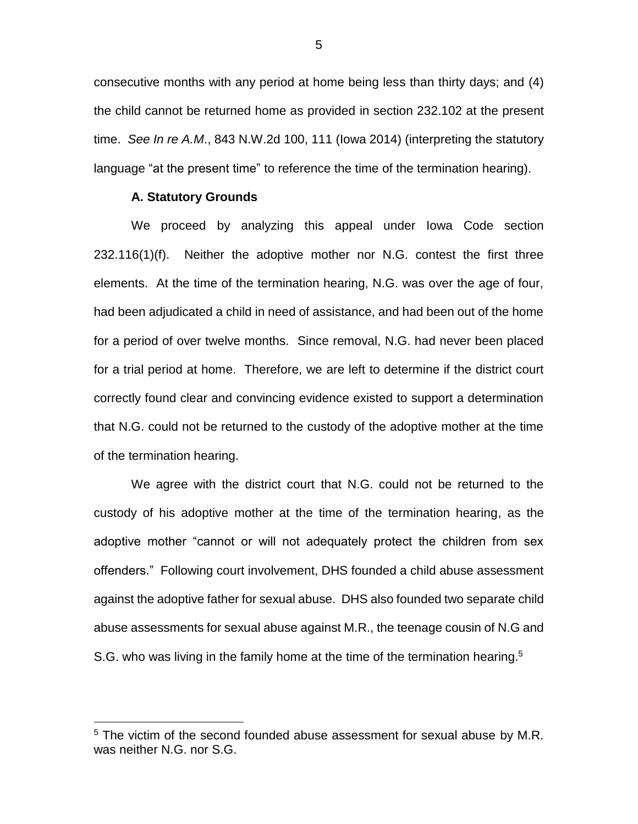consecutive months with any period at home being less than thirty days; and (4) the child cannot be returned home as provided in section 232.102 at the present time. *See In re A.M*., 843 N.W.2d 100, 111 (Iowa 2014) (interpreting the statutory language "at the present time" to reference the time of the termination hearing).

### **A. Statutory Grounds**

 $\overline{a}$ 

We proceed by analyzing this appeal under Iowa Code section 232.116(1)(f). Neither the adoptive mother nor N.G. contest the first three elements. At the time of the termination hearing, N.G. was over the age of four, had been adjudicated a child in need of assistance, and had been out of the home for a period of over twelve months. Since removal, N.G. had never been placed for a trial period at home. Therefore, we are left to determine if the district court correctly found clear and convincing evidence existed to support a determination that N.G. could not be returned to the custody of the adoptive mother at the time of the termination hearing.

We agree with the district court that N.G. could not be returned to the custody of his adoptive mother at the time of the termination hearing, as the adoptive mother "cannot or will not adequately protect the children from sex offenders." Following court involvement, DHS founded a child abuse assessment against the adoptive father for sexual abuse. DHS also founded two separate child abuse assessments for sexual abuse against M.R., the teenage cousin of N.G and S.G. who was living in the family home at the time of the termination hearing.<sup>5</sup>

5

<sup>&</sup>lt;sup>5</sup> The victim of the second founded abuse assessment for sexual abuse by M.R. was neither N.G. nor S.G.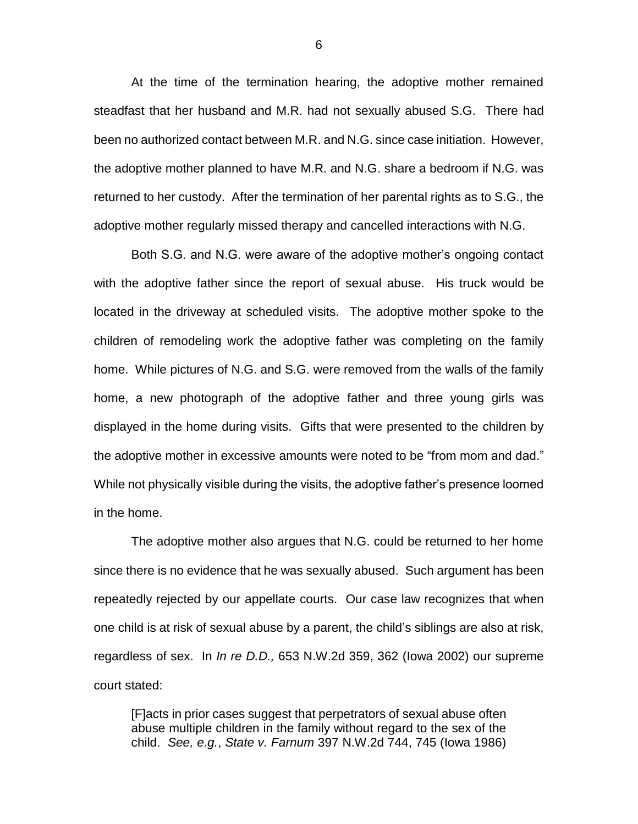At the time of the termination hearing, the adoptive mother remained steadfast that her husband and M.R. had not sexually abused S.G. There had been no authorized contact between M.R. and N.G. since case initiation. However, the adoptive mother planned to have M.R. and N.G. share a bedroom if N.G. was returned to her custody. After the termination of her parental rights as to S.G., the adoptive mother regularly missed therapy and cancelled interactions with N.G.

Both S.G. and N.G. were aware of the adoptive mother's ongoing contact with the adoptive father since the report of sexual abuse. His truck would be located in the driveway at scheduled visits. The adoptive mother spoke to the children of remodeling work the adoptive father was completing on the family home. While pictures of N.G. and S.G. were removed from the walls of the family home, a new photograph of the adoptive father and three young girls was displayed in the home during visits. Gifts that were presented to the children by the adoptive mother in excessive amounts were noted to be "from mom and dad." While not physically visible during the visits, the adoptive father's presence loomed in the home.

The adoptive mother also argues that N.G. could be returned to her home since there is no evidence that he was sexually abused. Such argument has been repeatedly rejected by our appellate courts. Our case law recognizes that when one child is at risk of sexual abuse by a parent, the child's siblings are also at risk, regardless of sex. In *In re D.D.,* 653 N.W.2d 359, 362 (Iowa 2002) our supreme court stated:

[F]acts in prior cases suggest that perpetrators of sexual abuse often abuse multiple children in the family without regard to the sex of the child. *See, e.g.*, *State v. Farnum* 397 N.W.2d 744, 745 (Iowa 1986)

6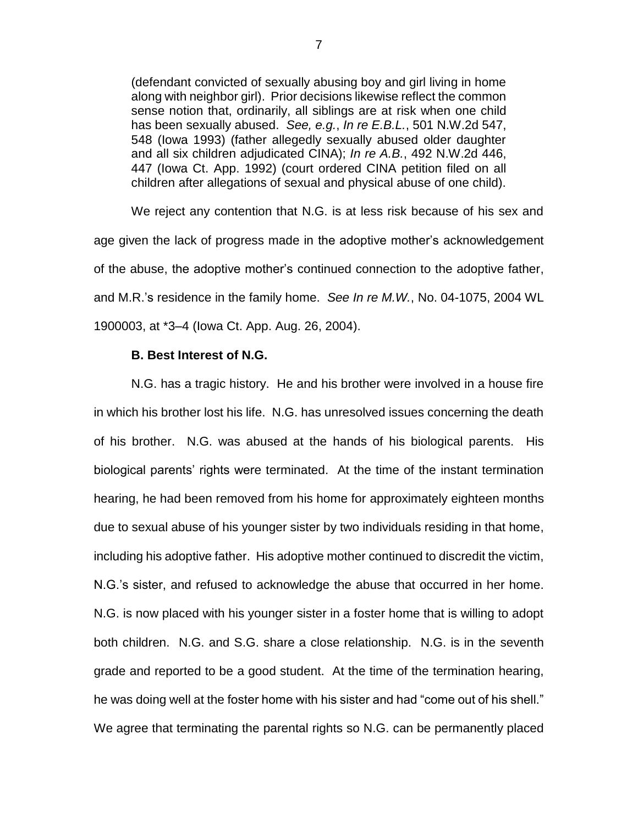(defendant convicted of sexually abusing boy and girl living in home along with neighbor girl). Prior decisions likewise reflect the common sense notion that, ordinarily, all siblings are at risk when one child has been sexually abused. *See, e.g.*, *In re E.B.L.*, 501 N.W.2d 547, 548 (Iowa 1993) (father allegedly sexually abused older daughter and all six children adjudicated CINA); *In re A.B.*, 492 N.W.2d 446, 447 (Iowa Ct. App. 1992) (court ordered CINA petition filed on all children after allegations of sexual and physical abuse of one child).

We reject any contention that N.G. is at less risk because of his sex and age given the lack of progress made in the adoptive mother's acknowledgement of the abuse, the adoptive mother's continued connection to the adoptive father, and M.R.'s residence in the family home. *See In re M.W.*, No. 04-1075, 2004 WL 1900003, at \*3–4 (Iowa Ct. App. Aug. 26, 2004).

### **B. Best Interest of N.G.**

N.G. has a tragic history. He and his brother were involved in a house fire in which his brother lost his life. N.G. has unresolved issues concerning the death of his brother. N.G. was abused at the hands of his biological parents. His biological parents' rights were terminated. At the time of the instant termination hearing, he had been removed from his home for approximately eighteen months due to sexual abuse of his younger sister by two individuals residing in that home, including his adoptive father. His adoptive mother continued to discredit the victim, N.G.'s sister, and refused to acknowledge the abuse that occurred in her home. N.G. is now placed with his younger sister in a foster home that is willing to adopt both children. N.G. and S.G. share a close relationship. N.G. is in the seventh grade and reported to be a good student. At the time of the termination hearing, he was doing well at the foster home with his sister and had "come out of his shell." We agree that terminating the parental rights so N.G. can be permanently placed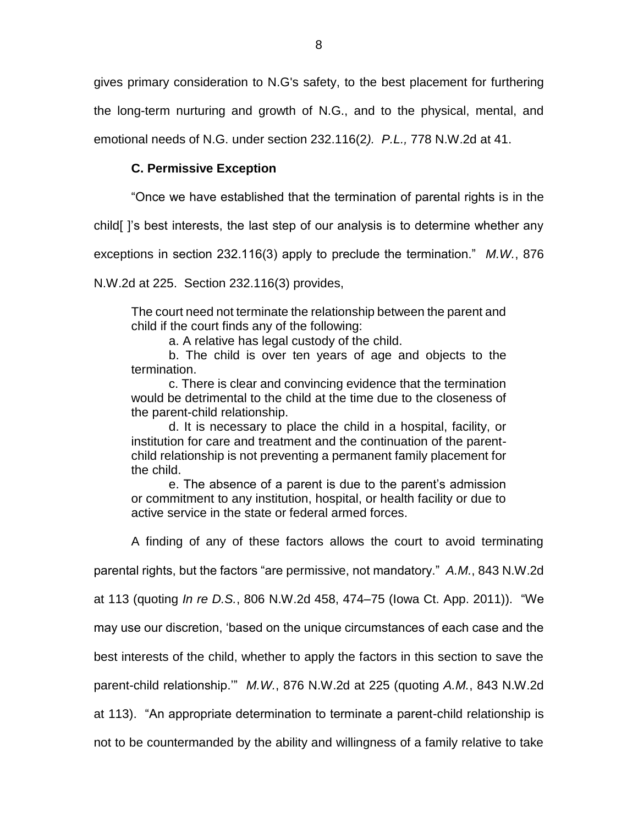gives primary consideration to N.G's safety, to the best placement for furthering the long-term nurturing and growth of N.G., and to the physical, mental, and emotional needs of N.G. under section 232.116(2*). P.L.,* 778 N.W.2d at 41.

## **C. Permissive Exception**

"Once we have established that the termination of parental rights is in the

child[ ]'s best interests, the last step of our analysis is to determine whether any

exceptions in section 232.116(3) apply to preclude the termination." *M.W.*, 876

N.W.2d at 225. Section 232.116(3) provides,

The court need not terminate the relationship between the parent and child if the court finds any of the following:

a. A relative has legal custody of the child.

b. The child is over ten years of age and objects to the termination.

c. There is clear and convincing evidence that the termination would be detrimental to the child at the time due to the closeness of the parent-child relationship.

d. It is necessary to place the child in a hospital, facility, or institution for care and treatment and the continuation of the parentchild relationship is not preventing a permanent family placement for the child.

e. The absence of a parent is due to the parent's admission or commitment to any institution, hospital, or health facility or due to active service in the state or federal armed forces.

A finding of any of these factors allows the court to avoid terminating

parental rights, but the factors "are permissive, not mandatory." *A.M.*, 843 N.W.2d

at 113 (quoting *In re D.S.*, 806 N.W.2d 458, 474–75 (Iowa Ct. App. 2011)). "We

may use our discretion, 'based on the unique circumstances of each case and the

best interests of the child, whether to apply the factors in this section to save the

parent-child relationship.'" *M.W.*, 876 N.W.2d at 225 (quoting *A.M.*, 843 N.W.2d

at 113). "An appropriate determination to terminate a parent-child relationship is

not to be countermanded by the ability and willingness of a family relative to take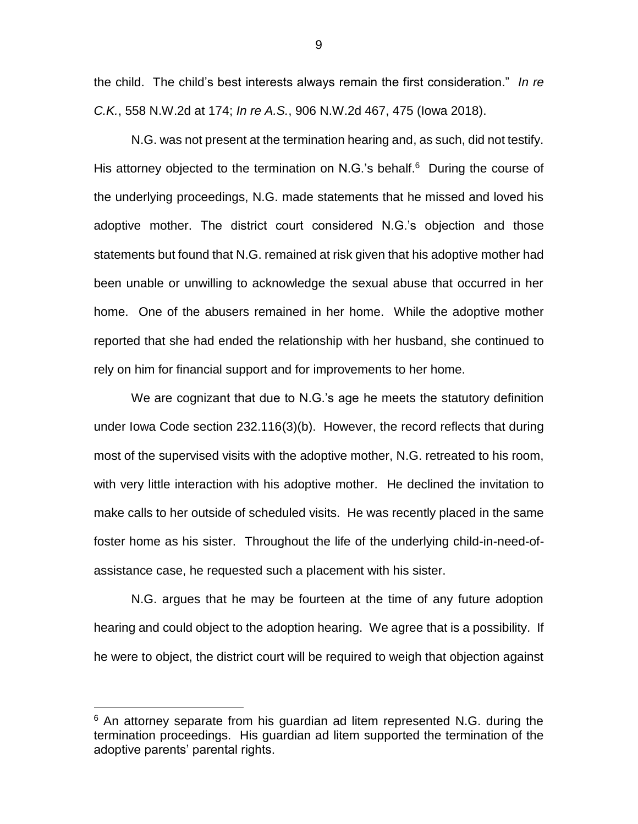the child. The child's best interests always remain the first consideration." *In re C.K.*, 558 N.W.2d at 174; *In re A.S.*, 906 N.W.2d 467, 475 (Iowa 2018).

N.G. was not present at the termination hearing and, as such, did not testify. His attorney objected to the termination on N.G.'s behalf.<sup>6</sup> During the course of the underlying proceedings, N.G. made statements that he missed and loved his adoptive mother. The district court considered N.G.'s objection and those statements but found that N.G. remained at risk given that his adoptive mother had been unable or unwilling to acknowledge the sexual abuse that occurred in her home. One of the abusers remained in her home. While the adoptive mother reported that she had ended the relationship with her husband, she continued to rely on him for financial support and for improvements to her home.

We are cognizant that due to N.G.'s age he meets the statutory definition under Iowa Code section 232.116(3)(b). However, the record reflects that during most of the supervised visits with the adoptive mother, N.G. retreated to his room, with very little interaction with his adoptive mother. He declined the invitation to make calls to her outside of scheduled visits. He was recently placed in the same foster home as his sister. Throughout the life of the underlying child-in-need-ofassistance case, he requested such a placement with his sister.

N.G. argues that he may be fourteen at the time of any future adoption hearing and could object to the adoption hearing. We agree that is a possibility. If he were to object, the district court will be required to weigh that objection against

 $\overline{a}$ 

 $6$  An attorney separate from his guardian ad litem represented N.G. during the termination proceedings. His guardian ad litem supported the termination of the adoptive parents' parental rights.